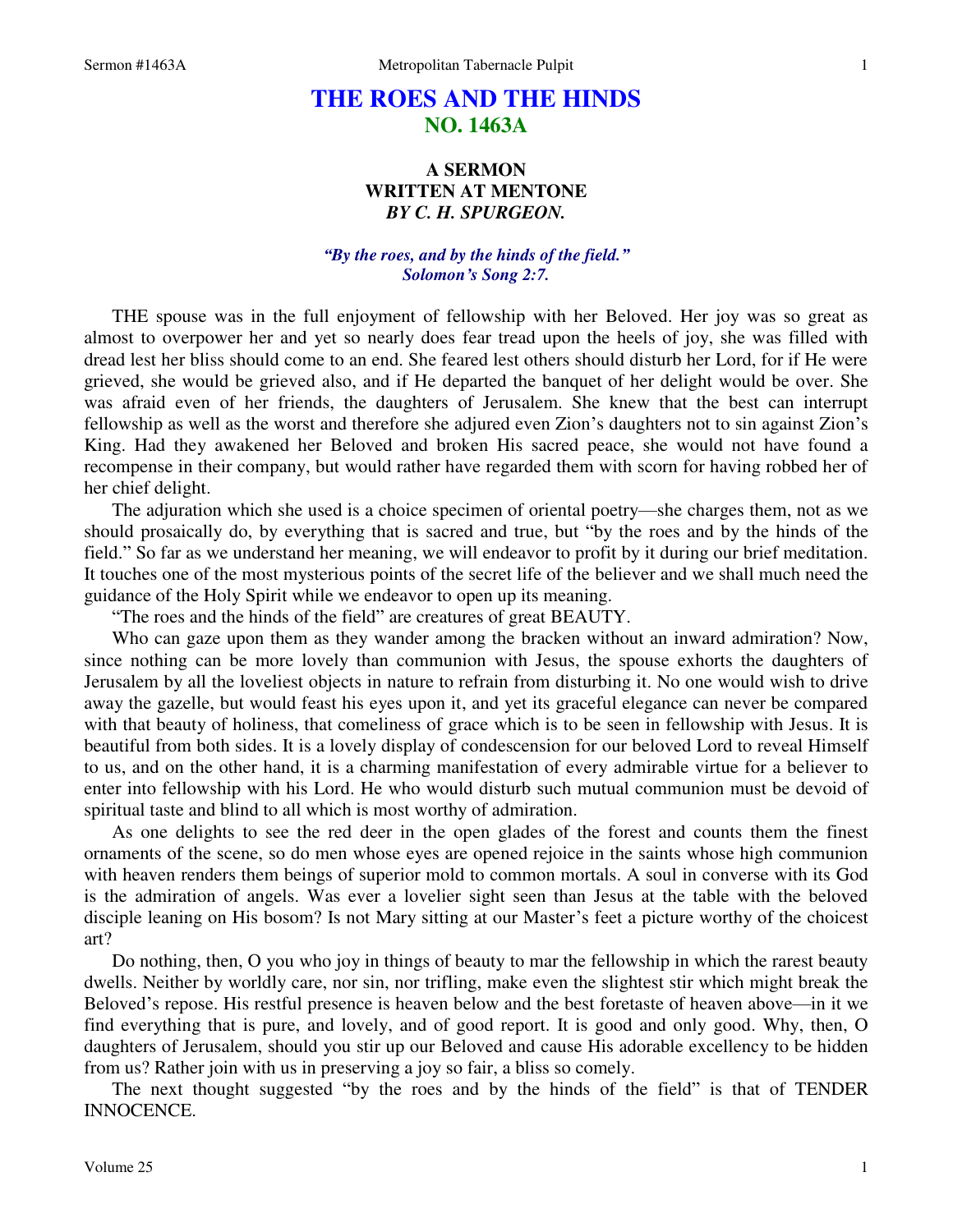## **THE ROES AND THE HINDS NO. 1463A**

## **A SERMON WRITTEN AT MENTONE**  *BY C. H. SPURGEON.*

## *"By the roes, and by the hinds of the field." Solomon's Song 2:7.*

THE spouse was in the full enjoyment of fellowship with her Beloved. Her joy was so great as almost to overpower her and yet so nearly does fear tread upon the heels of joy, she was filled with dread lest her bliss should come to an end. She feared lest others should disturb her Lord, for if He were grieved, she would be grieved also, and if He departed the banquet of her delight would be over. She was afraid even of her friends, the daughters of Jerusalem. She knew that the best can interrupt fellowship as well as the worst and therefore she adjured even Zion's daughters not to sin against Zion's King. Had they awakened her Beloved and broken His sacred peace, she would not have found a recompense in their company, but would rather have regarded them with scorn for having robbed her of her chief delight.

 The adjuration which she used is a choice specimen of oriental poetry—she charges them, not as we should prosaically do, by everything that is sacred and true, but "by the roes and by the hinds of the field." So far as we understand her meaning, we will endeavor to profit by it during our brief meditation. It touches one of the most mysterious points of the secret life of the believer and we shall much need the guidance of the Holy Spirit while we endeavor to open up its meaning.

"The roes and the hinds of the field" are creatures of great BEAUTY.

 Who can gaze upon them as they wander among the bracken without an inward admiration? Now, since nothing can be more lovely than communion with Jesus, the spouse exhorts the daughters of Jerusalem by all the loveliest objects in nature to refrain from disturbing it. No one would wish to drive away the gazelle, but would feast his eyes upon it, and yet its graceful elegance can never be compared with that beauty of holiness, that comeliness of grace which is to be seen in fellowship with Jesus. It is beautiful from both sides. It is a lovely display of condescension for our beloved Lord to reveal Himself to us, and on the other hand, it is a charming manifestation of every admirable virtue for a believer to enter into fellowship with his Lord. He who would disturb such mutual communion must be devoid of spiritual taste and blind to all which is most worthy of admiration.

 As one delights to see the red deer in the open glades of the forest and counts them the finest ornaments of the scene, so do men whose eyes are opened rejoice in the saints whose high communion with heaven renders them beings of superior mold to common mortals. A soul in converse with its God is the admiration of angels. Was ever a lovelier sight seen than Jesus at the table with the beloved disciple leaning on His bosom? Is not Mary sitting at our Master's feet a picture worthy of the choicest art?

 Do nothing, then, O you who joy in things of beauty to mar the fellowship in which the rarest beauty dwells. Neither by worldly care, nor sin, nor trifling, make even the slightest stir which might break the Beloved's repose. His restful presence is heaven below and the best foretaste of heaven above—in it we find everything that is pure, and lovely, and of good report. It is good and only good. Why, then, O daughters of Jerusalem, should you stir up our Beloved and cause His adorable excellency to be hidden from us? Rather join with us in preserving a joy so fair, a bliss so comely.

 The next thought suggested "by the roes and by the hinds of the field" is that of TENDER INNOCENCE.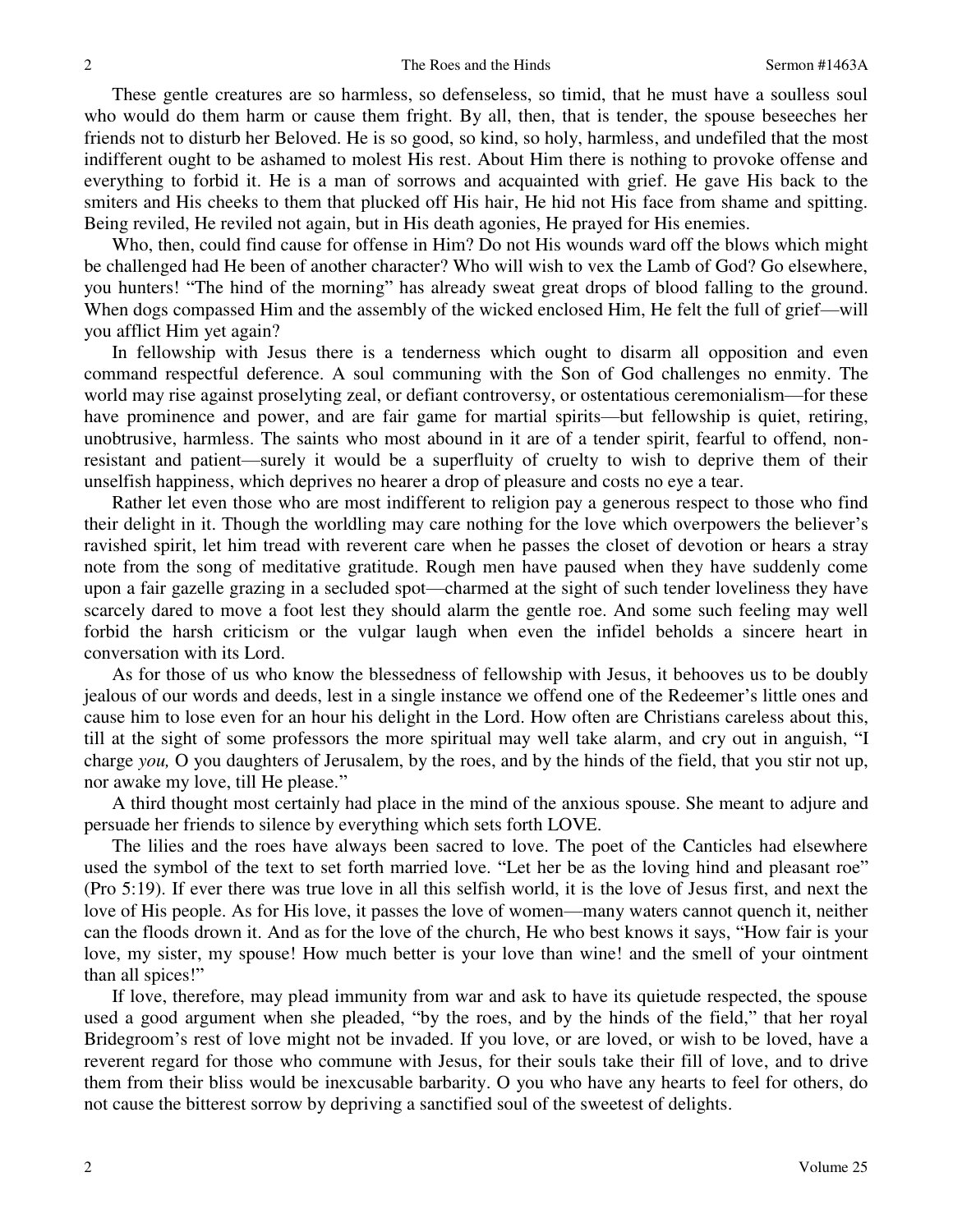These gentle creatures are so harmless, so defenseless, so timid, that he must have a soulless soul who would do them harm or cause them fright. By all, then, that is tender, the spouse beseeches her friends not to disturb her Beloved. He is so good, so kind, so holy, harmless, and undefiled that the most indifferent ought to be ashamed to molest His rest. About Him there is nothing to provoke offense and everything to forbid it. He is a man of sorrows and acquainted with grief. He gave His back to the smiters and His cheeks to them that plucked off His hair, He hid not His face from shame and spitting. Being reviled, He reviled not again, but in His death agonies, He prayed for His enemies.

 Who, then, could find cause for offense in Him? Do not His wounds ward off the blows which might be challenged had He been of another character? Who will wish to vex the Lamb of God? Go elsewhere, you hunters! "The hind of the morning" has already sweat great drops of blood falling to the ground. When dogs compassed Him and the assembly of the wicked enclosed Him, He felt the full of grief—will you afflict Him yet again?

 In fellowship with Jesus there is a tenderness which ought to disarm all opposition and even command respectful deference. A soul communing with the Son of God challenges no enmity. The world may rise against proselyting zeal, or defiant controversy, or ostentatious ceremonialism—for these have prominence and power, and are fair game for martial spirits—but fellowship is quiet, retiring, unobtrusive, harmless. The saints who most abound in it are of a tender spirit, fearful to offend, nonresistant and patient—surely it would be a superfluity of cruelty to wish to deprive them of their unselfish happiness, which deprives no hearer a drop of pleasure and costs no eye a tear.

 Rather let even those who are most indifferent to religion pay a generous respect to those who find their delight in it. Though the worldling may care nothing for the love which overpowers the believer's ravished spirit, let him tread with reverent care when he passes the closet of devotion or hears a stray note from the song of meditative gratitude. Rough men have paused when they have suddenly come upon a fair gazelle grazing in a secluded spot—charmed at the sight of such tender loveliness they have scarcely dared to move a foot lest they should alarm the gentle roe. And some such feeling may well forbid the harsh criticism or the vulgar laugh when even the infidel beholds a sincere heart in conversation with its Lord.

 As for those of us who know the blessedness of fellowship with Jesus, it behooves us to be doubly jealous of our words and deeds, lest in a single instance we offend one of the Redeemer's little ones and cause him to lose even for an hour his delight in the Lord. How often are Christians careless about this, till at the sight of some professors the more spiritual may well take alarm, and cry out in anguish, "I charge *you,* O you daughters of Jerusalem, by the roes, and by the hinds of the field, that you stir not up, nor awake my love, till He please."

 A third thought most certainly had place in the mind of the anxious spouse. She meant to adjure and persuade her friends to silence by everything which sets forth LOVE.

 The lilies and the roes have always been sacred to love. The poet of the Canticles had elsewhere used the symbol of the text to set forth married love. "Let her be as the loving hind and pleasant roe" (Pro 5:19). If ever there was true love in all this selfish world, it is the love of Jesus first, and next the love of His people. As for His love, it passes the love of women—many waters cannot quench it, neither can the floods drown it. And as for the love of the church, He who best knows it says, "How fair is your love, my sister, my spouse! How much better is your love than wine! and the smell of your ointment than all spices!"

 If love, therefore, may plead immunity from war and ask to have its quietude respected, the spouse used a good argument when she pleaded, "by the roes, and by the hinds of the field," that her royal Bridegroom's rest of love might not be invaded. If you love, or are loved, or wish to be loved, have a reverent regard for those who commune with Jesus, for their souls take their fill of love, and to drive them from their bliss would be inexcusable barbarity. O you who have any hearts to feel for others, do not cause the bitterest sorrow by depriving a sanctified soul of the sweetest of delights.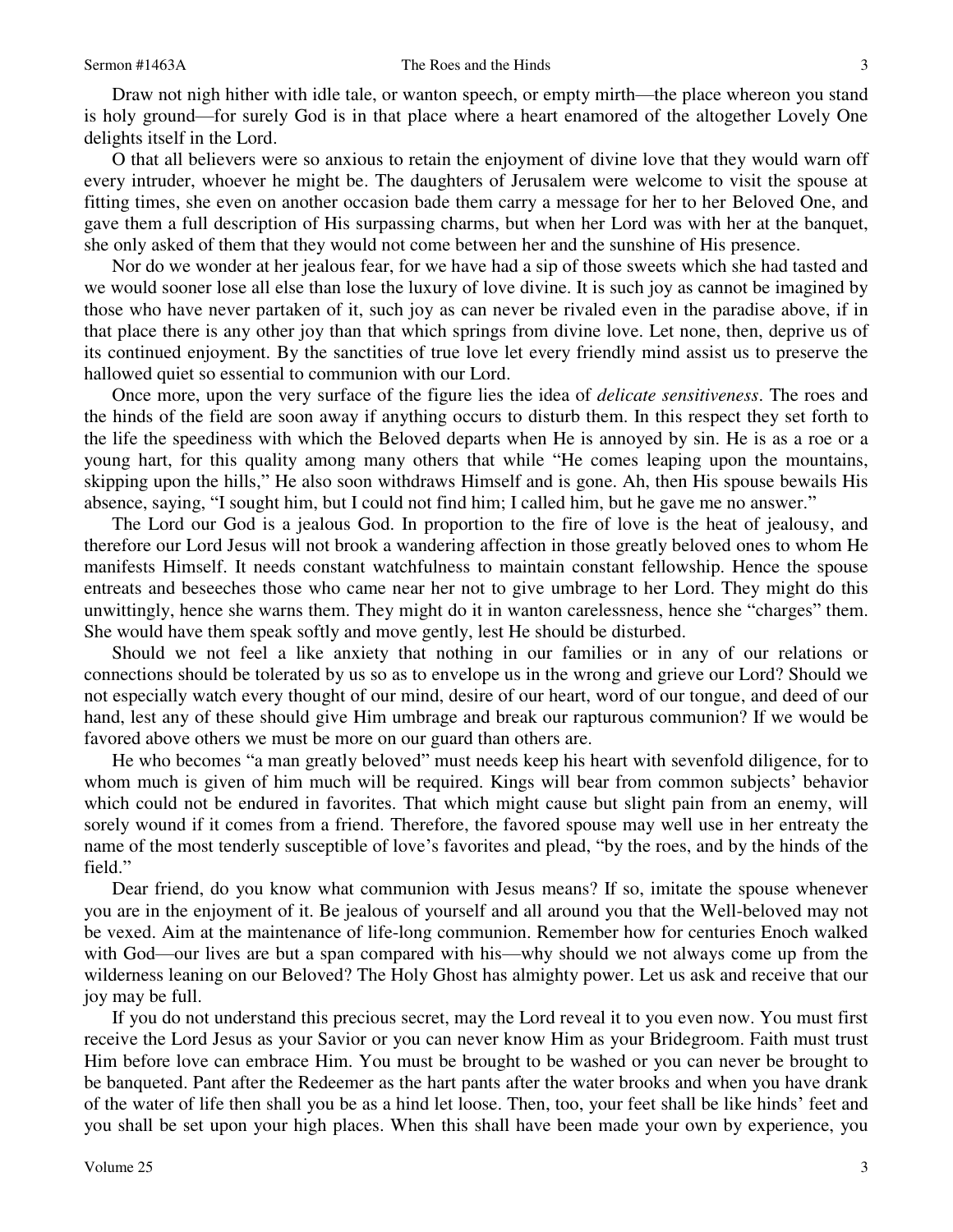Draw not nigh hither with idle tale, or wanton speech, or empty mirth—the place whereon you stand is holy ground—for surely God is in that place where a heart enamored of the altogether Lovely One delights itself in the Lord.

 O that all believers were so anxious to retain the enjoyment of divine love that they would warn off every intruder, whoever he might be. The daughters of Jerusalem were welcome to visit the spouse at fitting times, she even on another occasion bade them carry a message for her to her Beloved One, and gave them a full description of His surpassing charms, but when her Lord was with her at the banquet, she only asked of them that they would not come between her and the sunshine of His presence.

 Nor do we wonder at her jealous fear, for we have had a sip of those sweets which she had tasted and we would sooner lose all else than lose the luxury of love divine. It is such joy as cannot be imagined by those who have never partaken of it, such joy as can never be rivaled even in the paradise above, if in that place there is any other joy than that which springs from divine love. Let none, then, deprive us of its continued enjoyment. By the sanctities of true love let every friendly mind assist us to preserve the hallowed quiet so essential to communion with our Lord.

 Once more, upon the very surface of the figure lies the idea of *delicate sensitiveness*. The roes and the hinds of the field are soon away if anything occurs to disturb them. In this respect they set forth to the life the speediness with which the Beloved departs when He is annoyed by sin. He is as a roe or a young hart, for this quality among many others that while "He comes leaping upon the mountains, skipping upon the hills," He also soon withdraws Himself and is gone. Ah, then His spouse bewails His absence, saying, "I sought him, but I could not find him; I called him, but he gave me no answer."

 The Lord our God is a jealous God. In proportion to the fire of love is the heat of jealousy, and therefore our Lord Jesus will not brook a wandering affection in those greatly beloved ones to whom He manifests Himself. It needs constant watchfulness to maintain constant fellowship. Hence the spouse entreats and beseeches those who came near her not to give umbrage to her Lord. They might do this unwittingly, hence she warns them. They might do it in wanton carelessness, hence she "charges" them. She would have them speak softly and move gently, lest He should be disturbed.

 Should we not feel a like anxiety that nothing in our families or in any of our relations or connections should be tolerated by us so as to envelope us in the wrong and grieve our Lord? Should we not especially watch every thought of our mind, desire of our heart, word of our tongue, and deed of our hand, lest any of these should give Him umbrage and break our rapturous communion? If we would be favored above others we must be more on our guard than others are.

 He who becomes "a man greatly beloved" must needs keep his heart with sevenfold diligence, for to whom much is given of him much will be required. Kings will bear from common subjects' behavior which could not be endured in favorites. That which might cause but slight pain from an enemy, will sorely wound if it comes from a friend. Therefore, the favored spouse may well use in her entreaty the name of the most tenderly susceptible of love's favorites and plead, "by the roes, and by the hinds of the field."

 Dear friend, do you know what communion with Jesus means? If so, imitate the spouse whenever you are in the enjoyment of it. Be jealous of yourself and all around you that the Well-beloved may not be vexed. Aim at the maintenance of life-long communion. Remember how for centuries Enoch walked with God—our lives are but a span compared with his—why should we not always come up from the wilderness leaning on our Beloved? The Holy Ghost has almighty power. Let us ask and receive that our joy may be full.

 If you do not understand this precious secret, may the Lord reveal it to you even now. You must first receive the Lord Jesus as your Savior or you can never know Him as your Bridegroom. Faith must trust Him before love can embrace Him. You must be brought to be washed or you can never be brought to be banqueted. Pant after the Redeemer as the hart pants after the water brooks and when you have drank of the water of life then shall you be as a hind let loose. Then, too, your feet shall be like hinds' feet and you shall be set upon your high places. When this shall have been made your own by experience, you